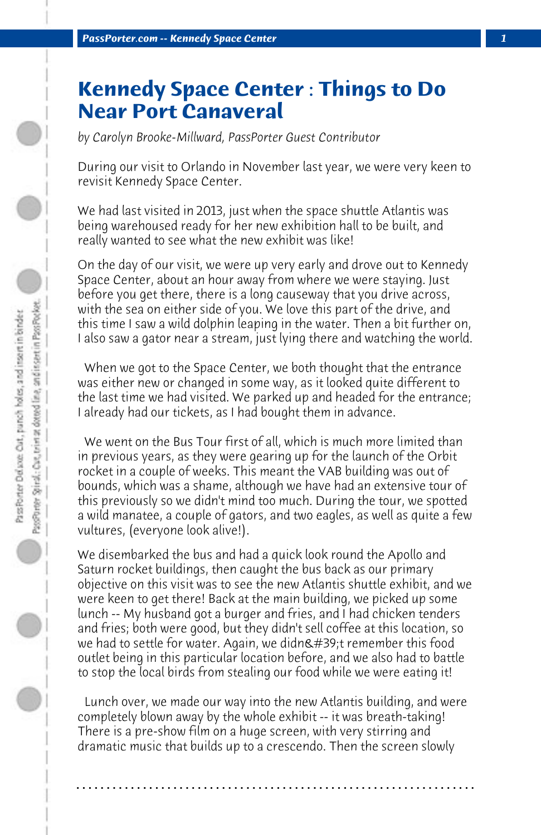## **Kennedy Space Center : Things to Do Near Port Canaveral**

*by Carolyn Brooke-Millward, PassPorter Guest Contributor*

During our visit to Orlando in November last year, we were very keen to revisit Kennedy Space Center.

We had last visited in 2013, just when the space shuttle Atlantis was being warehoused ready for her new exhibition hall to be built, and really wanted to see what the new exhibit was like!

On the day of our visit, we were up very early and drove out to Kennedy Space Center, about an hour away from where we were staying. Just before you get there, there is a long causeway that you drive across, with the sea on either side of you. We love this part of the drive, and this time I saw a wild dolphin leaping in the water. Then a bit further on, I also saw a gator near a stream, just lying there and watching the world.

 When we got to the Space Center, we both thought that the entrance was either new or changed in some way, as it looked quite different to the last time we had visited. We parked up and headed for the entrance; I already had our tickets, as I had bought them in advance.

 We went on the Bus Tour first of all, which is much more limited than in previous years, as they were gearing up for the launch of the Orbit rocket in a couple of weeks. This meant the VAB building was out of bounds, which was a shame, although we have had an extensive tour of this previously so we didn't mind too much. During the tour, we spotted a wild manatee, a couple of gators, and two eagles, as well as quite a few vultures, (everyone look alive!).

We disembarked the bus and had a quick look round the Apollo and Saturn rocket buildings, then caught the bus back as our primary objective on this visit was to see the new Atlantis shuttle exhibit, and we were keen to get there! Back at the main building, we picked up some lunch -- My husband got a burger and fries, and I had chicken tenders and fries; both were good, but they didn't sell coffee at this location, so we had to settle for water. Again, we didn't remember this food outlet being in this particular location before, and we also had to battle to stop the local birds from stealing our food while we were eating it!

 Lunch over, we made our way into the new Atlantis building, and were completely blown away by the whole exhibit -- it was breath-taking! There is a pre-show film on a huge screen, with very stirring and dramatic music that builds up to a crescendo. Then the screen slowly

**. . . . . . . . . . . . . . . . . . . . . . . . . . . . . . . . . . . . . . . . . . . . . . . . . . . . . . . . . . . . . . . . . .**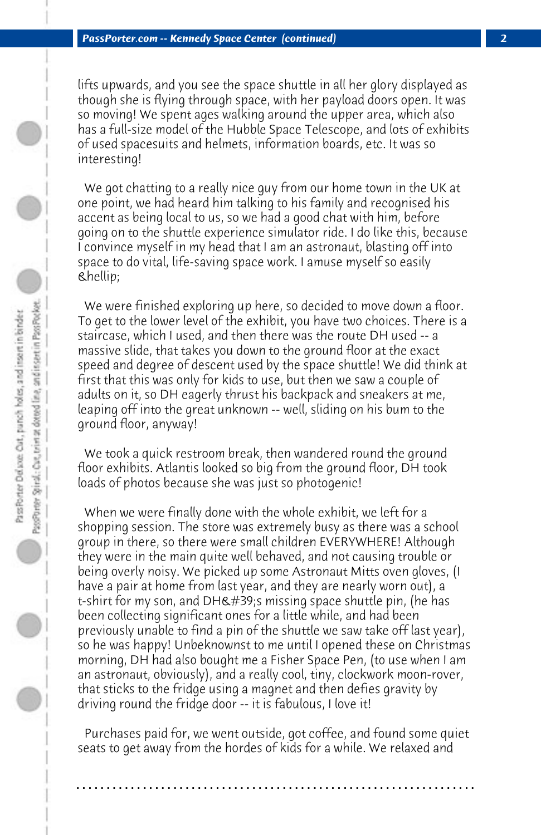lifts upwards, and you see the space shuttle in all her glory displayed as though she is flying through space, with her payload doors open. It was so moving! We spent ages walking around the upper area, which also has a full-size model of the Hubble Space Telescope, and lots of exhibits of used spacesuits and helmets, information boards, etc. It was so interesting!

 We got chatting to a really nice guy from our home town in the UK at one point, we had heard him talking to his family and recognised his accent as being local to us, so we had a good chat with him, before going on to the shuttle experience simulator ride. I do like this, because I convince myself in my head that I am an astronaut, blasting off into space to do vital, life-saving space work. I amuse myself so easily **&hellip**;

 We were finished exploring up here, so decided to move down a floor. To get to the lower level of the exhibit, you have two choices. There is a staircase, which I used, and then there was the route DH used -- a massive slide, that takes you down to the ground floor at the exact speed and degree of descent used by the space shuttle! We did think at first that this was only for kids to use, but then we saw a couple of adults on it, so DH eagerly thrust his backpack and sneakers at me, leaping off into the great unknown -- well, sliding on his bum to the ground floor, anyway!

 We took a quick restroom break, then wandered round the ground floor exhibits. Atlantis looked so big from the ground floor, DH took loads of photos because she was just so photogenic!

 When we were finally done with the whole exhibit, we left for a shopping session. The store was extremely busy as there was a school group in there, so there were small children EVERYWHERE! Although they were in the main quite well behaved, and not causing trouble or being overly noisy. We picked up some Astronaut Mitts oven gloves, (I have a pair at home from last year, and they are nearly worn out), a t-shirt for my son, and DH's missing space shuttle pin, (he has been collecting significant ones for a little while, and had been previously unable to find a pin of the shuttle we saw take off last year), so he was happy! Unbeknownst to me until I opened these on Christmas morning, DH had also bought me a Fisher Space Pen, (to use when I am an astronaut, obviously), and a really cool, tiny, clockwork moon-rover, that sticks to the fridge using a magnet and then defies gravity by driving round the fridge door -- it is fabulous, I love it!

 Purchases paid for, we went outside, got coffee, and found some quiet seats to get away from the hordes of kids for a while. We relaxed and

**. . . . . . . . . . . . . . . . . . . . . . . . . . . . . . . . . . . . . . . . . . . . . . . . . . . . . . . . . . . . . . . . . .**